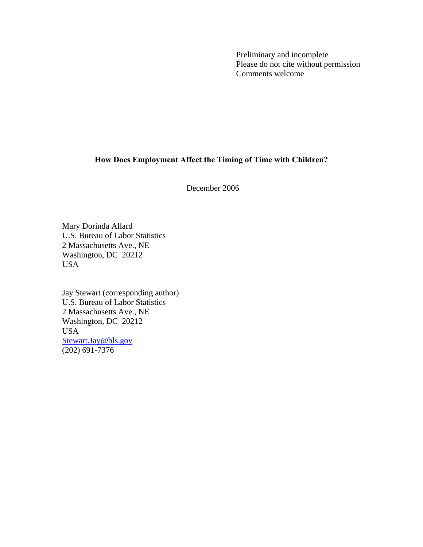Preliminary and incomplete Please do not cite without permission Comments welcome

# **How Does Employment Affect the Timing of Time with Children?**

December 2006

Mary Dorinda Allard U.S. Bureau of Labor Statistics 2 Massachusetts Ave., NE Washington, DC 20212 USA

Jay Stewart (corresponding author) U.S. Bureau of Labor Statistics 2 Massachusetts Ave., NE Washington, DC 20212 USA [Stewart.Jay@bls.gov](mailto:Stewart.Jay@bls.gov)  $(202)$  691-7376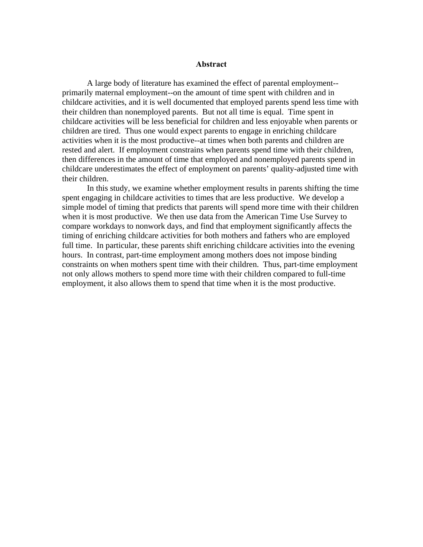#### **Abstract**

A large body of literature has examined the effect of parental employment- primarily maternal employment--on the amount of time spent with children and in childcare activities, and it is well documented that employed parents spend less time with their children than nonemployed parents. But not all time is equal. Time spent in childcare activities will be less beneficial for children and less enjoyable when parents or children are tired. Thus one would expect parents to engage in enriching childcare activities when it is the most productive--at times when both parents and children are rested and alert. If employment constrains when parents spend time with their children, then differences in the amount of time that employed and nonemployed parents spend in childcare underestimates the effect of employment on parents' quality-adjusted time with their children.

In this study, we examine whether employment results in parents shifting the time spent engaging in childcare activities to times that are less productive. We develop a simple model of timing that predicts that parents will spend more time with their children when it is most productive. We then use data from the American Time Use Survey to compare workdays to nonwork days, and find that employment significantly affects the timing of enriching childcare activities for both mothers and fathers who are employed full time. In particular, these parents shift enriching childcare activities into the evening hours. In contrast, part-time employment among mothers does not impose binding constraints on when mothers spent time with their children. Thus, part-time employment not only allows mothers to spend more time with their children compared to full-time employment, it also allows them to spend that time when it is the most productive.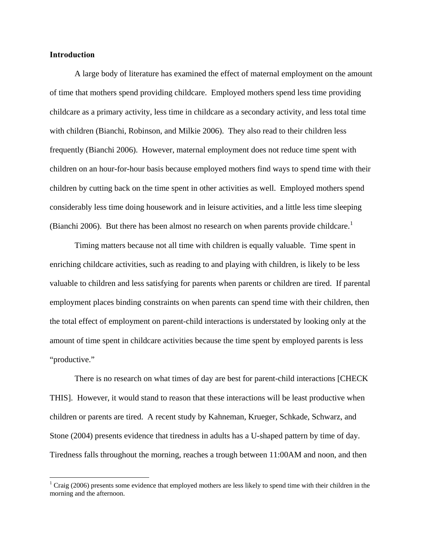#### **Introduction**

1

A large body of literature has examined the effect of maternal employment on the amount of time that mothers spend providing childcare. Employed mothers spend less time providing childcare as a primary activity, less time in childcare as a secondary activity, and less total time with children (Bianchi, Robinson, and Milkie 2006). They also read to their children less frequently (Bianchi 2006). However, maternal employment does not reduce time spent with children on an hour-for-hour basis because employed mothers find ways to spend time with their children by cutting back on the time spent in other activities as well. Employed mothers spend considerably less time doing housework and in leisure activities, and a little less time sleeping (Bianchi 2006). But there has been almost no research on when parents provide childcare.<sup>[1](#page-2-0)</sup>

Timing matters because not all time with children is equally valuable. Time spent in enriching childcare activities, such as reading to and playing with children, is likely to be less valuable to children and less satisfying for parents when parents or children are tired. If parental employment places binding constraints on when parents can spend time with their children, then the total effect of employment on parent-child interactions is understated by looking only at the amount of time spent in childcare activities because the time spent by employed parents is less "productive."

There is no research on what times of day are best for parent-child interactions [CHECK THIS]. However, it would stand to reason that these interactions will be least productive when children or parents are tired. A recent study by Kahneman, Krueger, Schkade, Schwarz, and Stone (2004) presents evidence that tiredness in adults has a U-shaped pattern by time of day. Tiredness falls throughout the morning, reaches a trough between 11:00AM and noon, and then

<span id="page-2-0"></span> $1$  Craig (2006) presents some evidence that employed mothers are less likely to spend time with their children in the morning and the afternoon.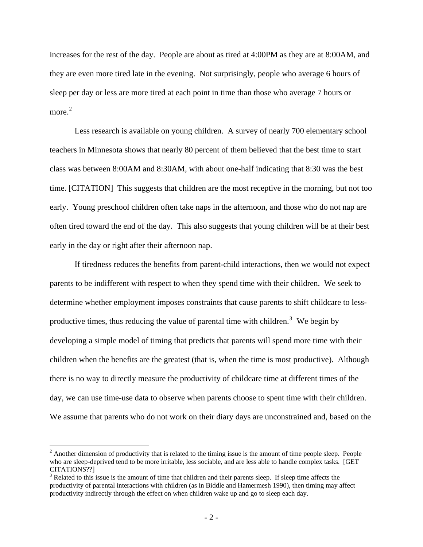increases for the rest of the day. People are about as tired at 4:00PM as they are at 8:00AM, and they are even more tired late in the evening. Not surprisingly, people who average 6 hours of sleep per day or less are more tired at each point in time than those who average 7 hours or more. [2](#page-3-0)

Less research is available on young children. A survey of nearly 700 elementary school teachers in Minnesota shows that nearly 80 percent of them believed that the best time to start class was between 8:00AM and 8:30AM, with about one-half indicating that 8:30 was the best time. [CITATION] This suggests that children are the most receptive in the morning, but not too early. Young preschool children often take naps in the afternoon, and those who do not nap are often tired toward the end of the day. This also suggests that young children will be at their best early in the day or right after their afternoon nap.

If tiredness reduces the benefits from parent-child interactions, then we would not expect parents to be indifferent with respect to when they spend time with their children. We seek to determine whether employment imposes constraints that cause parents to shift childcare to less-productive times, thus reducing the value of parental time with children.<sup>[3](#page-3-1)</sup> We begin by developing a simple model of timing that predicts that parents will spend more time with their children when the benefits are the greatest (that is, when the time is most productive). Although there is no way to directly measure the productivity of childcare time at different times of the day, we can use time-use data to observe when parents choose to spent time with their children. We assume that parents who do not work on their diary days are unconstrained and, based on the

 $\overline{a}$ 

<span id="page-3-0"></span> $2^2$  Another dimension of productivity that is related to the timing issue is the amount of time people sleep. People who are sleep-deprived tend to be more irritable, less sociable, and are less able to handle complex tasks. [GET CITATIONS??]

<span id="page-3-1"></span> $3$  Related to this issue is the amount of time that children and their parents sleep. If sleep time affects the productivity of parental interactions with children (as in Biddle and Hamermesh 1990), then timing may affect productivity indirectly through the effect on when children wake up and go to sleep each day.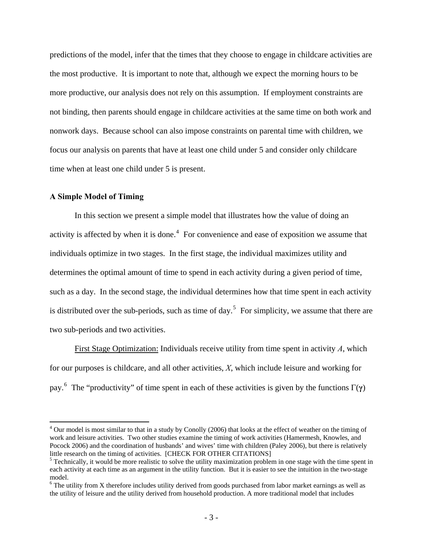predictions of the model, infer that the times that they choose to engage in childcare activities are the most productive. It is important to note that, although we expect the morning hours to be more productive, our analysis does not rely on this assumption. If employment constraints are not binding, then parents should engage in childcare activities at the same time on both work and nonwork days. Because school can also impose constraints on parental time with children, we focus our analysis on parents that have at least one child under 5 and consider only childcare time when at least one child under 5 is present.

## **A Simple Model of Timing**

 $\overline{a}$ 

 In this section we present a simple model that illustrates how the value of doing an activity is affected by when it is done. $4$  For convenience and ease of exposition we assume that individuals optimize in two stages. In the first stage, the individual maximizes utility and determines the optimal amount of time to spend in each activity during a given period of time, such as a day. In the second stage, the individual determines how that time spent in each activity is distributed over the sub-periods, such as time of day.<sup>[5](#page-4-1)</sup> For simplicity, we assume that there are two sub-periods and two activities.

First Stage Optimization: Individuals receive utility from time spent in activity *A*, which for our purposes is childcare, and all other activities, *X*, which include leisure and working for pay.[6](#page-4-2) The "productivity" of time spent in each of these activities is given by the functions Γ(**γ**)

<span id="page-4-0"></span> $4$  Our model is most similar to that in a study by Conolly (2006) that looks at the effect of weather on the timing of work and leisure activities. Two other studies examine the timing of work activities (Hamermesh, Knowles, and Pocock 2006) and the coordination of husbands' and wives' time with children (Paley 2006), but there is relatively little research on the timing of activities. [CHECK FOR OTHER CITATIONS]

<span id="page-4-1"></span><sup>&</sup>lt;sup>5</sup> Technically, it would be more realistic to solve the utility maximization problem in one stage with the time spent in each activity at each time as an argument in the utility function. But it is easier to see the intuition in the two-stage model.

<span id="page-4-2"></span><sup>&</sup>lt;sup>6</sup> The utility from X therefore includes utility derived from goods purchased from labor market earnings as well as the utility of leisure and the utility derived from household production. A more traditional model that includes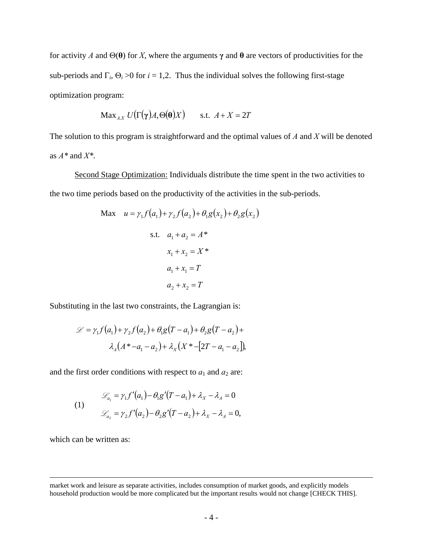for activity *A* and Θ(**θ**) for *X*, where the arguments **γ** and **θ** are vectors of productivities for the sub-periods and  $\Gamma_i$ ,  $\Theta_i > 0$  for  $i = 1,2$ . Thus the individual solves the following first-stage optimization program:

$$
\text{Max}_{A,X} U(\Gamma(\gamma)A, \Theta(\theta)X) \quad \text{s.t. } A + X = 2T
$$

The solution to this program is straightforward and the optimal values of *A* and *X* will be denoted as *A\** and *X\**.

Second Stage Optimization: Individuals distribute the time spent in the two activities to the two time periods based on the productivity of the activities in the sub-periods.

Max 
$$
u = \gamma_1 f(a_1) + \gamma_2 f(a_2) + \theta_1 g(x_2) + \theta_2 g(x_2)
$$
  
s.t.  $a_1 + a_2 = A^*$   
 $x_1 + x_2 = X^*$   
 $a_1 + x_1 = T$   
 $a_2 + x_2 = T$ 

Substituting in the last two constraints, the Lagrangian is:

$$
\mathcal{L} = \gamma_1 f(a_1) + \gamma_2 f(a_2) + \theta_1 g(T - a_1) + \theta_2 g(T - a_2) +
$$

$$
\lambda_A (A^* - a_1 - a_2) + \lambda_X (X^* - [2T - a_1 - a_2]),
$$

and the first order conditions with respect to  $a_1$  and  $a_2$  are:

(1)  
\n
$$
\mathcal{L}_{a_1} = \gamma_1 f'(a_1) - \theta_1 g'(T - a_1) + \lambda_X - \lambda_A = 0
$$
\n
$$
\mathcal{L}_{a_2} = \gamma_2 f'(a_2) - \theta_2 g'(T - a_2) + \lambda_X - \lambda_A = 0,
$$

which can be written as:

 $\overline{a}$ 

market work and leisure as separate activities, includes consumption of market goods, and explicitly models household production would be more complicated but the important results would not change [CHECK THIS].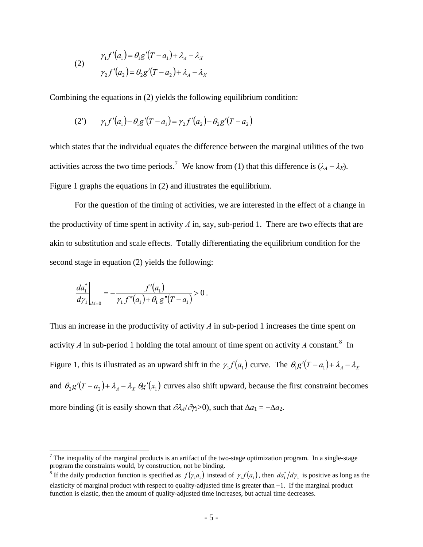(2)  

$$
\gamma_1 f'(a_1) = \theta_1 g'(T - a_1) + \lambda_A - \lambda_X
$$

$$
\gamma_2 f'(a_2) = \theta_2 g'(T - a_2) + \lambda_A - \lambda_X
$$

Combining the equations in (2) yields the following equilibrium condition:

(2') 
$$
\gamma_1 f'(a_1) - \theta_1 g'(T - a_1) = \gamma_2 f'(a_2) - \theta_2 g'(T - a_2)
$$

which states that the individual equates the difference between the marginal utilities of the two activities across the two time periods.<sup>[7](#page-6-0)</sup> We know from (1) that this difference is  $(\lambda_A - \lambda_X)$ . Figure 1 graphs the equations in (2) and illustrates the equilibrium.

 For the question of the timing of activities, we are interested in the effect of a change in the productivity of time spent in activity *A* in, say, sub-period 1. There are two effects that are akin to substitution and scale effects. Totally differentiating the equilibrium condition for the second stage in equation (2) yields the following:

$$
\left. \frac{da_1^*}{d\gamma_1} \right|_{dA=0} = -\frac{f'(a_1)}{\gamma_1 f''(a_1) + \theta_1 g''(T - a_1)} > 0.
$$

 $\overline{a}$ 

Thus an increase in the productivity of activity *A* in sub-period 1 increases the time spent on activity  $A$  in sub-period 1 holding the total amount of time spent on activity  $A$  constant.<sup>[8](#page-6-1)</sup> In Figure 1, this is illustrated as an upward shift in the  $\gamma_1 f(a_1)$  curve. The  $\theta_1 g'(T - a_1) + \lambda_1 - \lambda_2$ and  $\theta_2 g' (T - a_2) + \lambda_A - \lambda_X \theta g' (x_1)$  curves also shift upward, because the first constraint becomes more binding (it is easily shown that  $\partial \lambda_4/\partial \gamma$ >0), such that  $\Delta a_1 = -\Delta a_2$ .

<span id="page-6-0"></span><sup>&</sup>lt;sup>7</sup> The inequality of the marginal products is an artifact of the two-stage optimization program. In a single-stage program the constraints would, by construction, not be binding.

<span id="page-6-1"></span><sup>&</sup>lt;sup>8</sup> If the daily production function is specified as  $f(\gamma_1 a_1)$  instead of  $\gamma_1 f(a_1)$ , then  $da_1^* / d\gamma_1$  is positive as long as the elasticity of marginal product with respect to quality-adjusted time is greater than −1. If the marginal product function is elastic, then the amount of quality-adjusted time increases, but actual time decreases.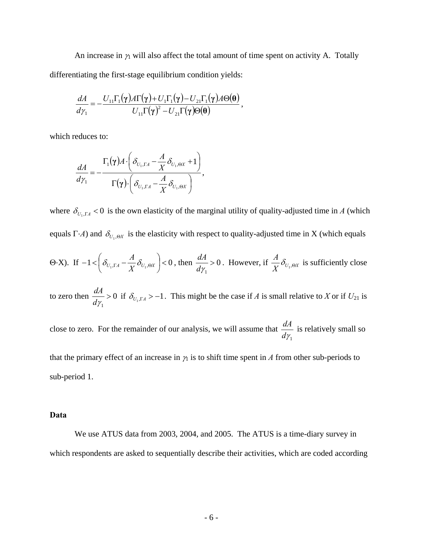An increase in  $\gamma_1$  will also affect the total amount of time spent on activity A. Totally differentiating the first-stage equilibrium condition yields:

$$
\frac{dA}{d\gamma_1} = -\frac{U_{11}\Gamma_1(\gamma)A\Gamma(\gamma) + U_1\Gamma_1(\gamma) - U_{21}\Gamma_1(\gamma)A\Theta(\theta)}{U_{11}\Gamma(\gamma)^2 - U_{21}\Gamma(\gamma)\Theta(\theta)},
$$

which reduces to:

$$
\frac{dA}{d\gamma_1} = -\frac{\Gamma_1(\gamma)A \cdot \left(\delta_{U_1,\Gamma A} - \frac{A}{X}\delta_{U_1,\Theta X} + 1\right)}{\Gamma(\gamma) \cdot \left(\delta_{U_1,\Gamma A} - \frac{A}{X}\delta_{U_1,\Theta X}\right)},
$$

where  $\delta_{U_1,\Gamma A}$  < 0 is the own elasticity of the marginal utility of quality-adjusted time in *A* (which equals  $\Gamma \cdot A$ ) and  $\delta_{U_1,\Theta X}$  is the elasticity with respect to quality-adjusted time in X (which equals

$$
\text{(9-X). If } -1 < \left(\delta_{U_1,\Gamma A} - \frac{A}{X}\delta_{U_1,\Theta X}\right) < 0 \text{, then } \frac{dA}{d\gamma_1} > 0. \text{ However, if } \frac{A}{X}\delta_{U_1,\Theta X} \text{ is sufficiently close}
$$

to zero then  $\frac{u}{1} > 0$ 1 >  $\frac{dA}{d\gamma} > 0$  if  $\delta_{U_1,\Gamma A} > -1$ . This might be the case if *A* is small relative to *X* or if  $U_{21}$  is

close to zero. For the remainder of our analysis, we will assume that  $d\gamma$ <sub>1</sub>  $\frac{dA}{dt}$  is relatively small so

that the primary effect of an increase in  $\gamma_1$  is to shift time spent in *A* from other sub-periods to sub-period 1.

## **Data**

 We use ATUS data from 2003, 2004, and 2005. The ATUS is a time-diary survey in which respondents are asked to sequentially describe their activities, which are coded according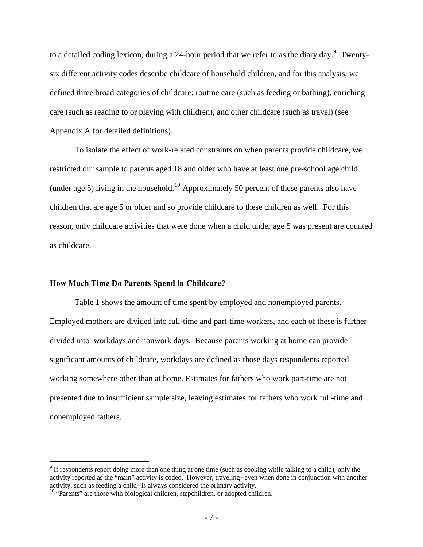to a detailed coding lexicon, during a 24-hour period that we refer to as the diary day.<sup>[9](#page-8-0)</sup> Twentysix different activity codes describe childcare of household children, and for this analysis, we defined three broad categories of childcare: routine care (such as feeding or bathing), enriching care (such as reading to or playing with children), and other childcare (such as travel) (see Appendix A for detailed definitions).

 To isolate the effect of work-related constraints on when parents provide childcare, we restricted our sample to parents aged 18 and older who have at least one pre-school age child (under age 5) living in the household.<sup>[10](#page-8-1)</sup> Approximately 50 percent of these parents also have children that are age 5 or older and so provide childcare to these children as well. For this reason, only childcare activities that were done when a child under age 5 was present are counted as childcare.

#### **How Much Time Do Parents Spend in Childcare?**

Table 1 shows the amount of time spent by employed and nonemployed parents. Employed mothers are divided into full-time and part-time workers, and each of these is further divided into workdays and nonwork days. Because parents working at home can provide significant amounts of childcare, workdays are defined as those days respondents reported working somewhere other than at home. Estimates for fathers who work part-time are not presented due to insufficient sample size, leaving estimates for fathers who work full-time and nonemployed fathers.

<u>.</u>

<span id="page-8-0"></span> $9<sup>9</sup>$  If respondents report doing more than one thing at one time (such as cooking while talking to a child), only the activity reported as the "main" activity is coded. However, traveling--even when done in conjunction with another activity, such as feeding a child--is always considered the primary activity.

<span id="page-8-1"></span><sup>&</sup>lt;sup>10</sup> "Parents" are those with biological children, stepchildren, or adopted children.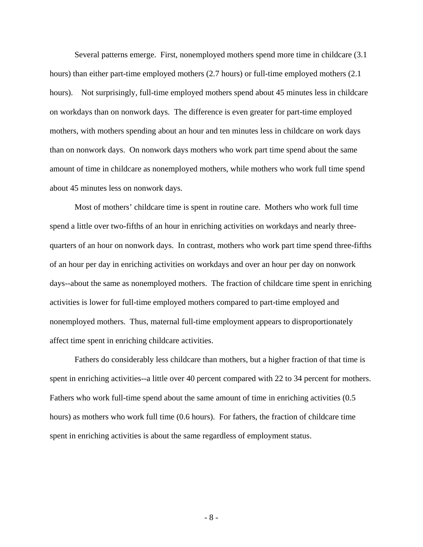Several patterns emerge. First, nonemployed mothers spend more time in childcare (3.1 hours) than either part-time employed mothers (2.7 hours) or full-time employed mothers (2.1 hours). Not surprisingly, full-time employed mothers spend about 45 minutes less in childcare on workdays than on nonwork days. The difference is even greater for part-time employed mothers, with mothers spending about an hour and ten minutes less in childcare on work days than on nonwork days. On nonwork days mothers who work part time spend about the same amount of time in childcare as nonemployed mothers, while mothers who work full time spend about 45 minutes less on nonwork days.

Most of mothers' childcare time is spent in routine care. Mothers who work full time spend a little over two-fifths of an hour in enriching activities on workdays and nearly threequarters of an hour on nonwork days. In contrast, mothers who work part time spend three-fifths of an hour per day in enriching activities on workdays and over an hour per day on nonwork days--about the same as nonemployed mothers. The fraction of childcare time spent in enriching activities is lower for full-time employed mothers compared to part-time employed and nonemployed mothers. Thus, maternal full-time employment appears to disproportionately affect time spent in enriching childcare activities.

Fathers do considerably less childcare than mothers, but a higher fraction of that time is spent in enriching activities--a little over 40 percent compared with 22 to 34 percent for mothers. Fathers who work full-time spend about the same amount of time in enriching activities (0.5 hours) as mothers who work full time (0.6 hours). For fathers, the fraction of childcare time spent in enriching activities is about the same regardless of employment status.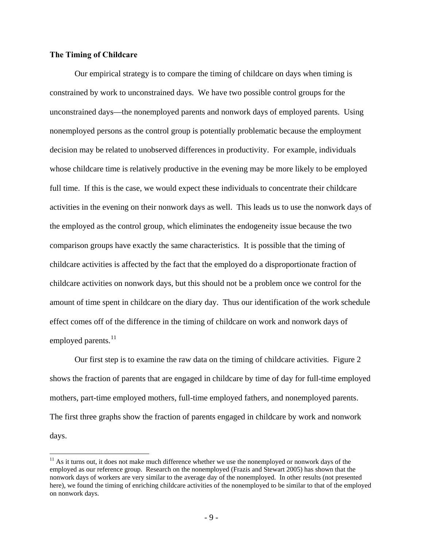## **The Timing of Childcare**

 $\overline{a}$ 

 Our empirical strategy is to compare the timing of childcare on days when timing is constrained by work to unconstrained days. We have two possible control groups for the unconstrained days—the nonemployed parents and nonwork days of employed parents. Using nonemployed persons as the control group is potentially problematic because the employment decision may be related to unobserved differences in productivity. For example, individuals whose childcare time is relatively productive in the evening may be more likely to be employed full time. If this is the case, we would expect these individuals to concentrate their childcare activities in the evening on their nonwork days as well. This leads us to use the nonwork days of the employed as the control group, which eliminates the endogeneity issue because the two comparison groups have exactly the same characteristics. It is possible that the timing of childcare activities is affected by the fact that the employed do a disproportionate fraction of childcare activities on nonwork days, but this should not be a problem once we control for the amount of time spent in childcare on the diary day. Thus our identification of the work schedule effect comes off of the difference in the timing of childcare on work and nonwork days of employed parents. $^{11}$  $^{11}$  $^{11}$ 

 Our first step is to examine the raw data on the timing of childcare activities. Figure 2 shows the fraction of parents that are engaged in childcare by time of day for full-time employed mothers, part-time employed mothers, full-time employed fathers, and nonemployed parents. The first three graphs show the fraction of parents engaged in childcare by work and nonwork days.

<span id="page-10-0"></span> $11$  As it turns out, it does not make much difference whether we use the nonemployed or nonwork days of the employed as our reference group. Research on the nonemployed (Frazis and Stewart 2005) has shown that the nonwork days of workers are very similar to the average day of the nonemployed. In other results (not presented here), we found the timing of enriching childcare activities of the nonemployed to be similar to that of the employed on nonwork days.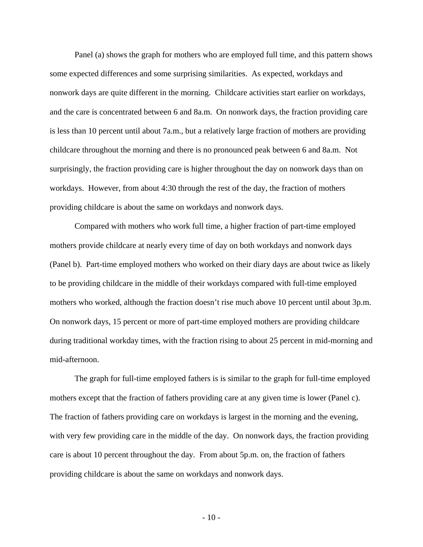Panel (a) shows the graph for mothers who are employed full time, and this pattern shows some expected differences and some surprising similarities. As expected, workdays and nonwork days are quite different in the morning. Childcare activities start earlier on workdays, and the care is concentrated between 6 and 8a.m. On nonwork days, the fraction providing care is less than 10 percent until about 7a.m., but a relatively large fraction of mothers are providing childcare throughout the morning and there is no pronounced peak between 6 and 8a.m. Not surprisingly, the fraction providing care is higher throughout the day on nonwork days than on workdays. However, from about 4:30 through the rest of the day, the fraction of mothers providing childcare is about the same on workdays and nonwork days.

Compared with mothers who work full time, a higher fraction of part-time employed mothers provide childcare at nearly every time of day on both workdays and nonwork days (Panel b). Part-time employed mothers who worked on their diary days are about twice as likely to be providing childcare in the middle of their workdays compared with full-time employed mothers who worked, although the fraction doesn't rise much above 10 percent until about 3p.m. On nonwork days, 15 percent or more of part-time employed mothers are providing childcare during traditional workday times, with the fraction rising to about 25 percent in mid-morning and mid-afternoon.

The graph for full-time employed fathers is is similar to the graph for full-time employed mothers except that the fraction of fathers providing care at any given time is lower (Panel c). The fraction of fathers providing care on workdays is largest in the morning and the evening, with very few providing care in the middle of the day. On nonwork days, the fraction providing care is about 10 percent throughout the day. From about 5p.m. on, the fraction of fathers providing childcare is about the same on workdays and nonwork days.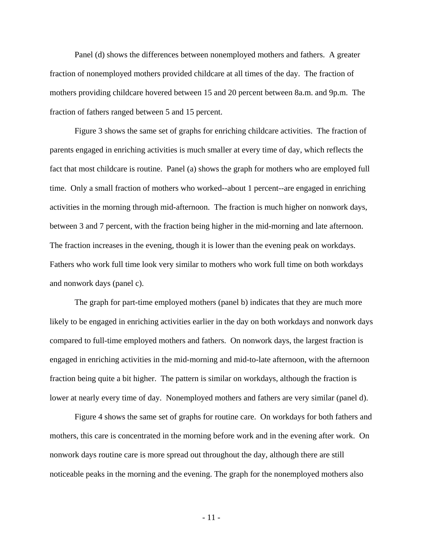Panel (d) shows the differences between nonemployed mothers and fathers. A greater fraction of nonemployed mothers provided childcare at all times of the day. The fraction of mothers providing childcare hovered between 15 and 20 percent between 8a.m. and 9p.m. The fraction of fathers ranged between 5 and 15 percent.

Figure 3 shows the same set of graphs for enriching childcare activities. The fraction of parents engaged in enriching activities is much smaller at every time of day, which reflects the fact that most childcare is routine. Panel (a) shows the graph for mothers who are employed full time. Only a small fraction of mothers who worked--about 1 percent--are engaged in enriching activities in the morning through mid-afternoon. The fraction is much higher on nonwork days, between 3 and 7 percent, with the fraction being higher in the mid-morning and late afternoon. The fraction increases in the evening, though it is lower than the evening peak on workdays. Fathers who work full time look very similar to mothers who work full time on both workdays and nonwork days (panel c).

The graph for part-time employed mothers (panel b) indicates that they are much more likely to be engaged in enriching activities earlier in the day on both workdays and nonwork days compared to full-time employed mothers and fathers. On nonwork days, the largest fraction is engaged in enriching activities in the mid-morning and mid-to-late afternoon, with the afternoon fraction being quite a bit higher. The pattern is similar on workdays, although the fraction is lower at nearly every time of day. Nonemployed mothers and fathers are very similar (panel d).

Figure 4 shows the same set of graphs for routine care. On workdays for both fathers and mothers, this care is concentrated in the morning before work and in the evening after work. On nonwork days routine care is more spread out throughout the day, although there are still noticeable peaks in the morning and the evening. The graph for the nonemployed mothers also

- 11 -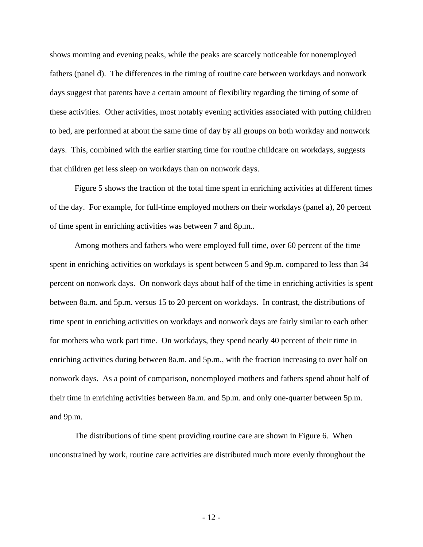shows morning and evening peaks, while the peaks are scarcely noticeable for nonemployed fathers (panel d). The differences in the timing of routine care between workdays and nonwork days suggest that parents have a certain amount of flexibility regarding the timing of some of these activities. Other activities, most notably evening activities associated with putting children to bed, are performed at about the same time of day by all groups on both workday and nonwork days. This, combined with the earlier starting time for routine childcare on workdays, suggests that children get less sleep on workdays than on nonwork days.

Figure 5 shows the fraction of the total time spent in enriching activities at different times of the day. For example, for full-time employed mothers on their workdays (panel a), 20 percent of time spent in enriching activities was between 7 and 8p.m..

Among mothers and fathers who were employed full time, over 60 percent of the time spent in enriching activities on workdays is spent between 5 and 9p.m. compared to less than 34 percent on nonwork days. On nonwork days about half of the time in enriching activities is spent between 8a.m. and 5p.m. versus 15 to 20 percent on workdays. In contrast, the distributions of time spent in enriching activities on workdays and nonwork days are fairly similar to each other for mothers who work part time. On workdays, they spend nearly 40 percent of their time in enriching activities during between 8a.m. and 5p.m., with the fraction increasing to over half on nonwork days. As a point of comparison, nonemployed mothers and fathers spend about half of their time in enriching activities between 8a.m. and 5p.m. and only one-quarter between 5p.m. and 9p.m.

The distributions of time spent providing routine care are shown in Figure 6. When unconstrained by work, routine care activities are distributed much more evenly throughout the

- 12 -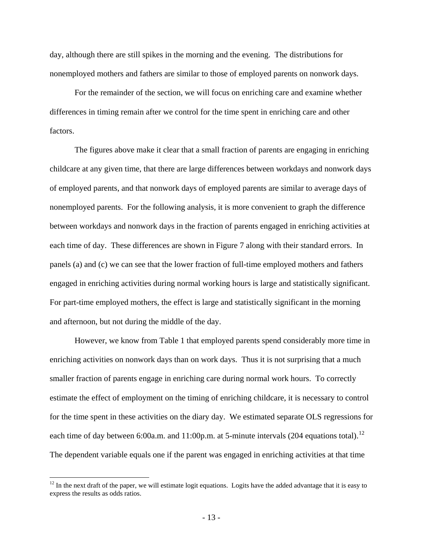day, although there are still spikes in the morning and the evening. The distributions for nonemployed mothers and fathers are similar to those of employed parents on nonwork days.

For the remainder of the section, we will focus on enriching care and examine whether differences in timing remain after we control for the time spent in enriching care and other factors.

The figures above make it clear that a small fraction of parents are engaging in enriching childcare at any given time, that there are large differences between workdays and nonwork days of employed parents, and that nonwork days of employed parents are similar to average days of nonemployed parents. For the following analysis, it is more convenient to graph the difference between workdays and nonwork days in the fraction of parents engaged in enriching activities at each time of day. These differences are shown in Figure 7 along with their standard errors. In panels (a) and (c) we can see that the lower fraction of full-time employed mothers and fathers engaged in enriching activities during normal working hours is large and statistically significant. For part-time employed mothers, the effect is large and statistically significant in the morning and afternoon, but not during the middle of the day.

However, we know from Table 1 that employed parents spend considerably more time in enriching activities on nonwork days than on work days. Thus it is not surprising that a much smaller fraction of parents engage in enriching care during normal work hours. To correctly estimate the effect of employment on the timing of enriching childcare, it is necessary to control for the time spent in these activities on the diary day. We estimated separate OLS regressions for each time of day between 6:00a.m. and 11:00p.m. at 5-minute intervals (204 equations total).<sup>[12](#page-14-0)</sup> The dependent variable equals one if the parent was engaged in enriching activities at that time

 $\overline{a}$ 

<span id="page-14-0"></span> $12$  In the next draft of the paper, we will estimate logit equations. Logits have the added advantage that it is easy to express the results as odds ratios.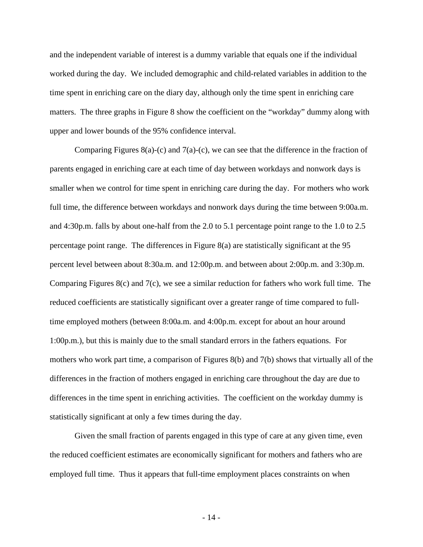and the independent variable of interest is a dummy variable that equals one if the individual worked during the day. We included demographic and child-related variables in addition to the time spent in enriching care on the diary day, although only the time spent in enriching care matters. The three graphs in Figure 8 show the coefficient on the "workday" dummy along with upper and lower bounds of the 95% confidence interval.

Comparing Figures 8(a)-(c) and 7(a)-(c), we can see that the difference in the fraction of parents engaged in enriching care at each time of day between workdays and nonwork days is smaller when we control for time spent in enriching care during the day. For mothers who work full time, the difference between workdays and nonwork days during the time between 9:00a.m. and 4:30p.m. falls by about one-half from the 2.0 to 5.1 percentage point range to the 1.0 to 2.5 percentage point range. The differences in Figure 8(a) are statistically significant at the 95 percent level between about 8:30a.m. and 12:00p.m. and between about 2:00p.m. and 3:30p.m. Comparing Figures 8(c) and 7(c), we see a similar reduction for fathers who work full time. The reduced coefficients are statistically significant over a greater range of time compared to fulltime employed mothers (between 8:00a.m. and 4:00p.m. except for about an hour around 1:00p.m.), but this is mainly due to the small standard errors in the fathers equations. For mothers who work part time, a comparison of Figures 8(b) and 7(b) shows that virtually all of the differences in the fraction of mothers engaged in enriching care throughout the day are due to differences in the time spent in enriching activities. The coefficient on the workday dummy is statistically significant at only a few times during the day.

Given the small fraction of parents engaged in this type of care at any given time, even the reduced coefficient estimates are economically significant for mothers and fathers who are employed full time. Thus it appears that full-time employment places constraints on when

- 14 -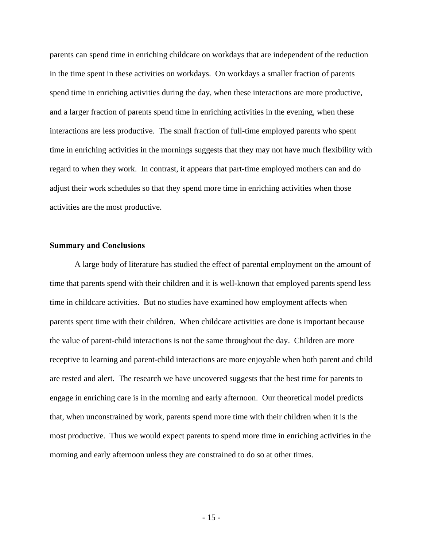parents can spend time in enriching childcare on workdays that are independent of the reduction in the time spent in these activities on workdays. On workdays a smaller fraction of parents spend time in enriching activities during the day, when these interactions are more productive, and a larger fraction of parents spend time in enriching activities in the evening, when these interactions are less productive. The small fraction of full-time employed parents who spent time in enriching activities in the mornings suggests that they may not have much flexibility with regard to when they work. In contrast, it appears that part-time employed mothers can and do adjust their work schedules so that they spend more time in enriching activities when those activities are the most productive.

## **Summary and Conclusions**

A large body of literature has studied the effect of parental employment on the amount of time that parents spend with their children and it is well-known that employed parents spend less time in childcare activities. But no studies have examined how employment affects when parents spent time with their children. When childcare activities are done is important because the value of parent-child interactions is not the same throughout the day. Children are more receptive to learning and parent-child interactions are more enjoyable when both parent and child are rested and alert. The research we have uncovered suggests that the best time for parents to engage in enriching care is in the morning and early afternoon. Our theoretical model predicts that, when unconstrained by work, parents spend more time with their children when it is the most productive. Thus we would expect parents to spend more time in enriching activities in the morning and early afternoon unless they are constrained to do so at other times.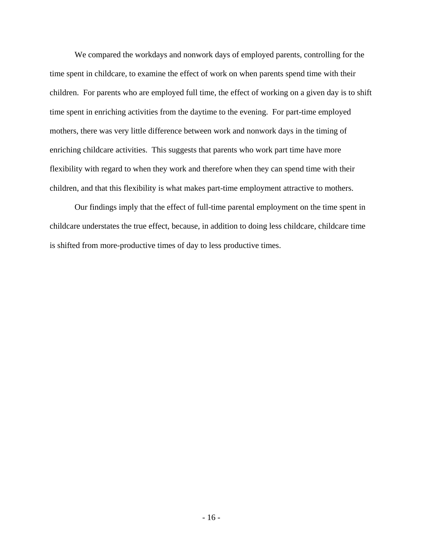We compared the workdays and nonwork days of employed parents, controlling for the time spent in childcare, to examine the effect of work on when parents spend time with their children. For parents who are employed full time, the effect of working on a given day is to shift time spent in enriching activities from the daytime to the evening. For part-time employed mothers, there was very little difference between work and nonwork days in the timing of enriching childcare activities. This suggests that parents who work part time have more flexibility with regard to when they work and therefore when they can spend time with their children, and that this flexibility is what makes part-time employment attractive to mothers.

Our findings imply that the effect of full-time parental employment on the time spent in childcare understates the true effect, because, in addition to doing less childcare, childcare time is shifted from more-productive times of day to less productive times.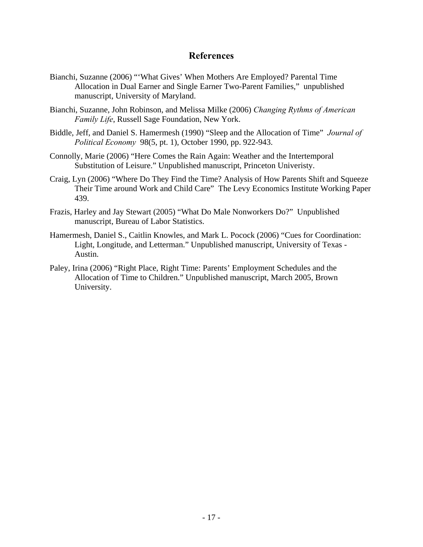## **References**

- Bianchi, Suzanne (2006) "'What Gives' When Mothers Are Employed? Parental Time Allocation in Dual Earner and Single Earner Two-Parent Families," unpublished manuscript, University of Maryland.
- Bianchi, Suzanne, John Robinson, and Melissa Milke (2006) *Changing Rythms of American Family Life*, Russell Sage Foundation, New York.
- Biddle, Jeff, and Daniel S. Hamermesh (1990) "Sleep and the Allocation of Time" *Journal of Political Economy* 98(5, pt. 1), October 1990, pp. 922-943.
- Connolly, Marie (2006) "Here Comes the Rain Again: Weather and the Intertemporal Substitution of Leisure." Unpublished manuscript, Princeton Univeristy.
- Craig, Lyn (2006) "Where Do They Find the Time? Analysis of How Parents Shift and Squeeze Their Time around Work and Child Care" The Levy Economics Institute Working Paper 439.
- Frazis, Harley and Jay Stewart (2005) "What Do Male Nonworkers Do?" Unpublished manuscript, Bureau of Labor Statistics.
- Hamermesh, Daniel S., Caitlin Knowles, and Mark L. Pocock (2006) "Cues for Coordination: Light, Longitude, and Letterman." Unpublished manuscript, University of Texas - Austin.
- Paley, Irina (2006) "Right Place, Right Time: Parents' Employment Schedules and the Allocation of Time to Children." Unpublished manuscript, March 2005, Brown University.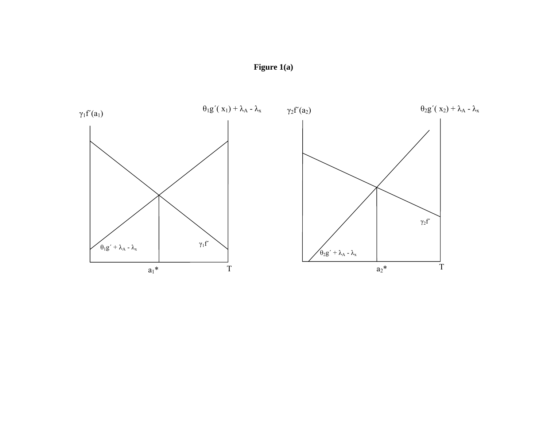

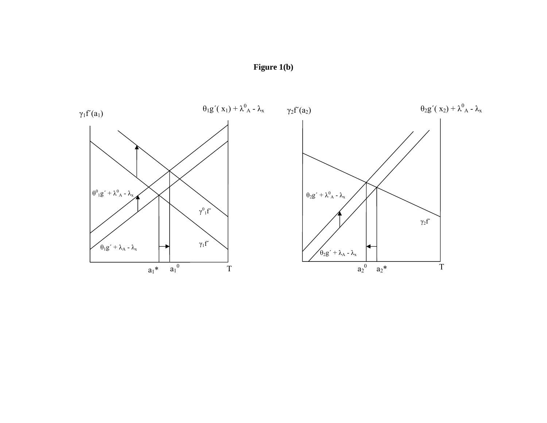

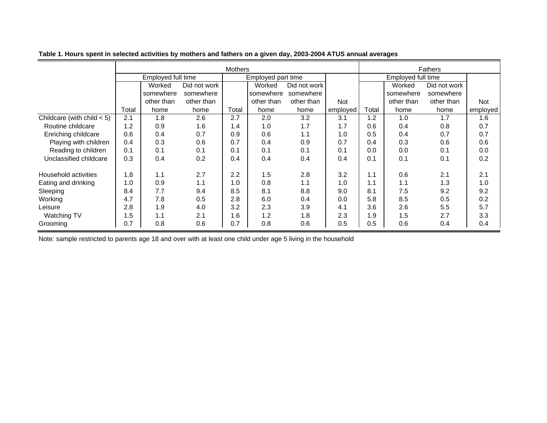|                              | <b>Mothers</b>     |            |              |                    |            |              |          | <b>Fathers</b>     |            |              |            |
|------------------------------|--------------------|------------|--------------|--------------------|------------|--------------|----------|--------------------|------------|--------------|------------|
|                              | Employed full time |            |              | Employed part time |            |              |          | Employed full time |            |              |            |
|                              |                    | Worked     | Did not work |                    | Worked     | Did not work |          |                    | Worked     | Did not work |            |
|                              |                    | somewhere  | somewhere    |                    | somewhere  | somewhere    |          |                    | somewhere  | somewhere    |            |
|                              |                    | other than | other than   |                    | other than | other than   | Not      |                    | other than | other than   | <b>Not</b> |
|                              | Total              | home       | home         | Total              | home       | home         | employed | Total              | home       | home         | employed   |
| Childcare (with child $<$ 5) | 2.1                | 1.8        | 2.6          | 2.7                | 2.0        | 3.2          | 3.1      | 1.2                | 1.0        | 1.7          | 1.6        |
| Routine childcare            | 1.2                | 0.9        | 1.6          | 1.4                | 1.0        | 1.7          | 1.7      | 0.6                | 0.4        | 0.8          | 0.7        |
| Enriching childcare          | 0.6                | 0.4        | 0.7          | 0.9                | 0.6        | 1.1          | 1.0      | 0.5                | 0.4        | 0.7          | 0.7        |
| Playing with children        | 0.4                | 0.3        | 0.6          | 0.7                | 0.4        | 0.9          | 0.7      | 0.4                | 0.3        | 0.6          | 0.6        |
| Reading to children          | 0.1                | 0.1        | 0.1          | 0.1                | 0.1        | 0.1          | 0.1      | 0.0                | 0.0        | 0.1          | 0.0        |
| Unclassified childcare       | 0.3                | 0.4        | 0.2          | 0.4                | 0.4        | 0.4          | 0.4      | 0.1                | 0.1        | 0.1          | 0.2        |
| Household activities         | 1.8                | 1.1        | 2.7          | 2.2                | 1.5        | 2.8          | 3.2      | 1.1                | 0.6        | 2.1          | 2.1        |
| Eating and drinking          | 1.0                | 0.9        | 1.1          | 1.0                | 0.8        | 1.1          | 1.0      | 1.1                | 1.1        | 1.3          | 1.0        |
| Sleeping                     | 8.4                | 7.7        | 9.4          | 8.5                | 8.1        | 8.8          | 9.0      | 8.1                | 7.5        | 9.2          | 9.2        |
| Working                      | 4.7                | 7.8        | 0.5          | 2.8                | 6.0        | 0.4          | 0.0      | 5.8                | 8.5        | 0.5          | 0.2        |
| Leisure                      | 2.8                | 1.9        | 4.0          | 3.2                | 2.3        | 3.9          | 4.1      | 3.6                | 2.6        | 5.5          | 5.7        |
| Watching TV                  | 1.5                | 1.1        | 2.1          | 1.6                | 1.2        | 1.8          | 2.3      | 1.9                | 1.5        | 2.7          | 3.3        |
| Grooming                     | 0.7                | 0.8        | 0.6          | 0.7                | 0.8        | 0.6          | 0.5      | 0.5                | 0.6        | 0.4          | 0.4        |

**Table 1. Hours spent in selected activities by mothers and fathers on a given day, 2003-2004 ATUS annual averages**

Note: sample restricted to parents age 18 and over with at least one child under age 5 living in the household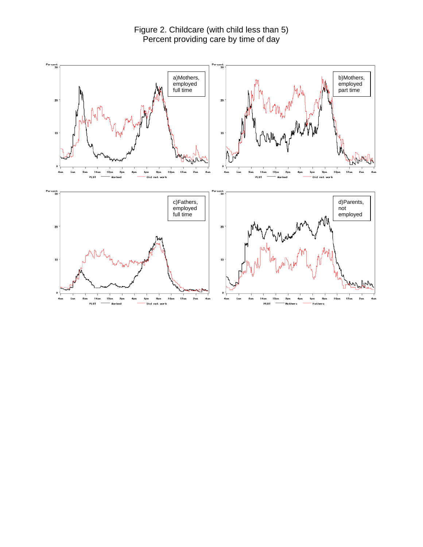Figure 2. Childcare (with child less than 5) Percent providing care by time of day

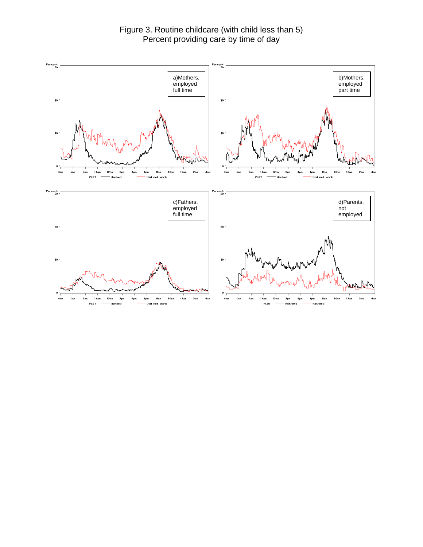Figure 3. Routine childcare (with child less than 5) Percent providing care by time of day

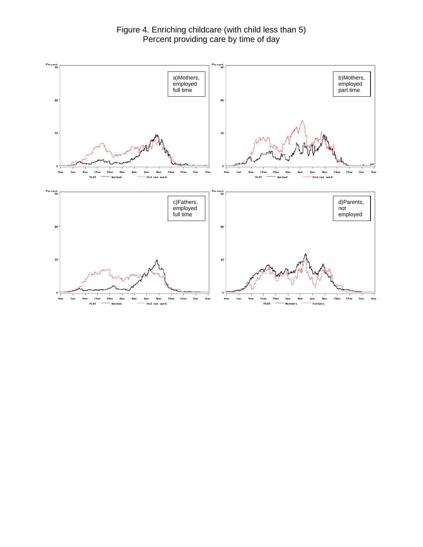Figure 4. Enriching childcare (with child less than 5) Percent providing care by time of day

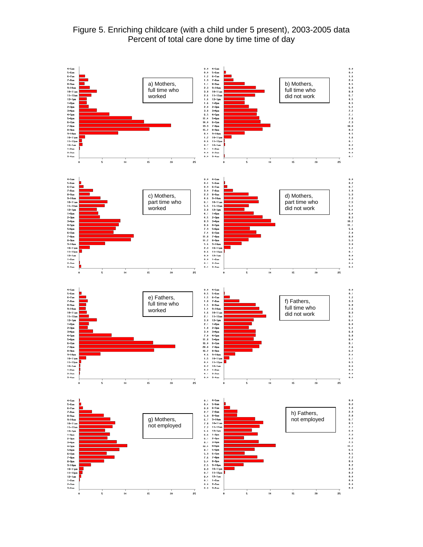## Figure 5. Enriching childcare (with a child under 5 present), 2003-2005 data Percent of total care done by time time of day

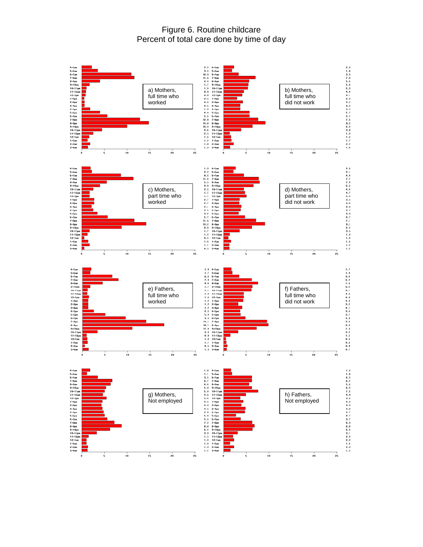Figure 6. Routine childcare Percent of total care done by time of day

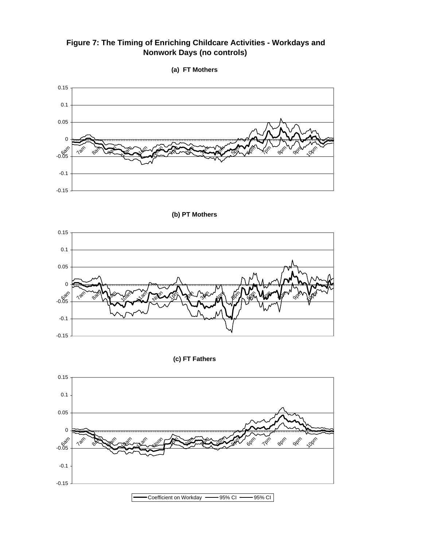**Figure 7: The Timing of Enriching Childcare Activities - Workdays and Nonwork Days (no controls)**





**(b) PT Mothers** 



**(c) FT Fathers**